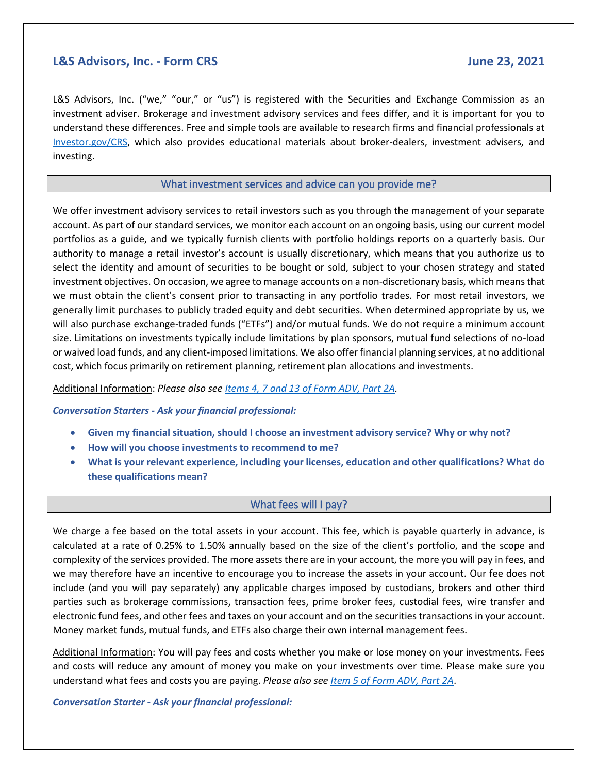## **L&S Advisors, Inc. - Form CRS June 23, 2021**

L&S Advisors, Inc. ("we," "our," or "us") is registered with the Securities and Exchange Commission as an investment adviser. Brokerage and investment advisory services and fees differ, and it is important for you to understand these differences. Free and simple tools are available to research firms and financial professionals at [Investor.gov/CRS,](https://www.investor.gov/CRS) which also provides educational materials about broker-dealers, investment advisers, and investing.

## What investment services and advice can you provide me?

We offer investment advisory services to retail investors such as you through the management of your separate account. As part of our standard services, we monitor each account on an ongoing basis, using our current model portfolios as a guide, and we typically furnish clients with portfolio holdings reports on a quarterly basis. Our authority to manage a retail investor's account is usually discretionary, which means that you authorize us to select the identity and amount of securities to be bought or sold, subject to your chosen strategy and stated investment objectives. On occasion, we agree to manage accounts on a non-discretionary basis, which means that we must obtain the client's consent prior to transacting in any portfolio trades. For most retail investors, we generally limit purchases to publicly traded equity and debt securities. When determined appropriate by us, we will also purchase exchange-traded funds ("ETFs") and/or mutual funds. We do not require a minimum account size. Limitations on investments typically include limitations by plan sponsors, mutual fund selections of no-load or waived load funds, and any client-imposed limitations. We also offer financial planning services, at no additional cost, which focus primarily on retirement planning, retirement plan allocations and investments.

Additional Information: *Please also se[e Items 4, 7 and 13 of Form ADV, Part 2A.](http://www.lsadvisors.com/adv)*

## *Conversation Starters - Ask your financial professional:*

- **Given my financial situation, should I choose an investment advisory service? Why or why not?**
- **How will you choose investments to recommend to me?**
- **What is your relevant experience, including your licenses, education and other qualifications? What do these qualifications mean?**

## What fees will I pay?

We charge a fee based on the total assets in your account. This fee, which is payable quarterly in advance, is calculated at a rate of 0.25% to 1.50% annually based on the size of the client's portfolio, and the scope and complexity of the services provided. The more assets there are in your account, the more you will pay in fees, and we may therefore have an incentive to encourage you to increase the assets in your account. Our fee does not include (and you will pay separately) any applicable charges imposed by custodians, brokers and other third parties such as brokerage commissions, transaction fees, prime broker fees, custodial fees, wire transfer and electronic fund fees, and other fees and taxes on your account and on the securities transactions in your account. Money market funds, mutual funds, and ETFs also charge their own internal management fees.

Additional Information: You will pay fees and costs whether you make or lose money on your investments. Fees and costs will reduce any amount of money you make on your investments over time. Please make sure you understand what fees and costs you are paying. *Please also se[e Item 5 of Form ADV, Part 2A](http://www.lsadvisors.com/adv)*.

*Conversation Starter - Ask your financial professional:*